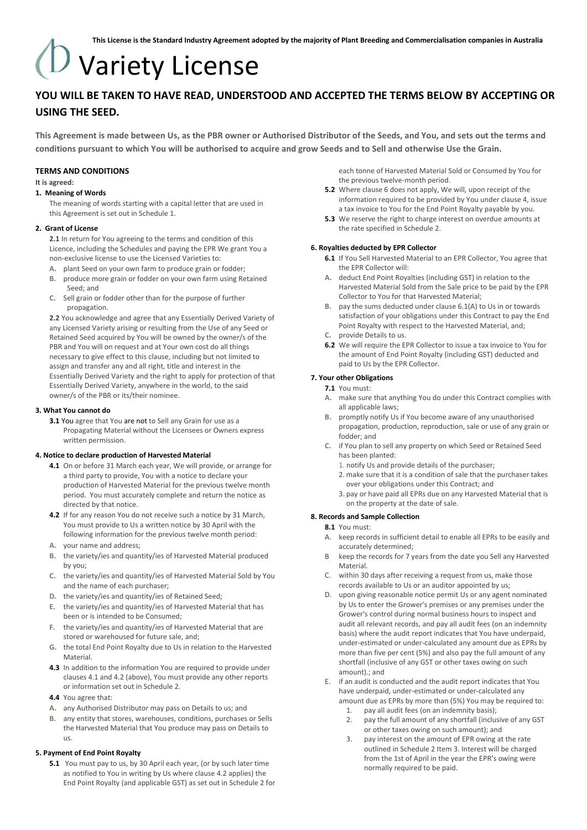# Variety License

### **YOU WILL BE TAKEN TO HAVE READ, UNDERSTOOD AND ACCEPTED THE TERMS BELOW BY ACCEPTING OR USING THE SEED.**

**This Agreement is made between Us, as the PBR owner or Authorised Distributor of the Seeds, and You, and sets out the terms and conditions pursuant to which You will be authorised to acquire and grow Seeds and to Sell and otherwise Use the Grain.**

#### **TERMS AND CONDITIONS**

#### **It is agreed:**

#### **1. Meaning of Words**

The meaning of words starting with a capital letter that are used in this Agreement is set out in Schedule 1.

#### **2. Grant of License**

**2.1** In return for You agreeing to the terms and condition of this Licence, including the Schedules and paying the EPR We grant You a non-exclusive license to use the Licensed Varieties to:

- **A.** plant Seed on your own farm to produce grain or fodder;
- **B.** produce more grain or fodder on your own farm using Retained Seed; and
- **C.** Sell grain or fodder other than for the purpose of further propagation.

**2.2** You acknowledge and agree that any Essentially Derived Variety of any Licensed Variety arising or resulting from the Use of any Seed or Retained Seed acquired by You will be owned by the owner/s of the PBR and You will on request and at Your own cost do all things necessary to give effect to this clause, including but not limited to assign and transfer any and all right, title and interest in the Essentially Derived Variety and the right to apply for protection of that Essentially Derived Variety, anywhere in the world, to the said owner/s of the PBR or its/their nominee.

#### **3. What You cannot do**

**3.1** You agree that You are not to Sell any Grain for use as a Propagating Material without the Licensees or Owners express written permission.

#### **4. Notice to declare production of Harvested Material**

- **4.1** On or before 31 March each year, We will provide, or arrange for a third party to provide, You with a notice to declare your production of Harvested Material for the previous twelve month period. You must accurately complete and return the notice as directed by that notice.
- **4.2** If for any reason You do not receive such a notice by 31 March, You must provide to Us a written notice by 30 April with the following information for the previous twelve month period:
- **A.** your name and address;
- **B.** the variety/ies and quantity/ies of Harvested Material produced by you;
- **C.** the variety/ies and quantity/ies of Harvested Material Sold by You and the name of each purchaser;
- **D.** the variety/ies and quantity/ies of Retained Seed;
- **E.** the variety/ies and quantity/ies of Harvested Material that has been or is intended to be Consumed;
- **F.** the variety/ies and quantity/ies of Harvested Material that are stored or warehoused for future sale, and;
- **G.** the total End Point Royalty due to Us in relation to the Harvested **Material**
- **4.3** In addition to the information You are required to provide under clauses 4.1 and 4.2 (above), You must provide any other reports or information set out in Schedule 2.
- **4.4** You agree that:
- **A.** any Authorised Distributor may pass on Details to us; and
- **B.** any entity that stores, warehouses, conditions, purchases or Sells the Harvested Material that You produce may pass on Details to us.

#### **5. Payment of End Point Royalty**

**5.1** You must pay to us, by 30 April each year, (or by such later time as notified to You in writing by Us where clause 4.2 applies) the End Point Royalty (and applicable GST) as set out in Schedule 2 for each tonne of Harvested Material Sold or Consumed by You for the previous twelve-month period.

- **5.2** Where clause 6 does not apply, We will, upon receipt of the information required to be provided by You under clause 4, issue a tax invoice to You for the End Point Royalty payable by you.
- **5.3** We reserve the right to charge interest on overdue amounts at the rate specified in Schedule 2.

#### **6. Royalties deducted by EPR Collector**

- **6.1** If You Sell Harvested Material to an EPR Collector, You agree that the EPR Collector will:
- **A.** deduct End Point Royalties (including GST) in relation to the Harvested Material Sold from the Sale price to be paid by the EPR Collector to You for that Harvested Material;
- **B.** pay the sums deducted under clause 6.1(A) to Us in or towards satisfaction of your obligations under this Contract to pay the End Point Royalty with respect to the Harvested Material, and;
- **C.** provide Details to us.
- **6.2** We will require the EPR Collector to issue a tax invoice to You for the amount of End Point Royalty (including GST) deducted and paid to Us by the EPR Collector.

#### **7. Your other Obligations**

#### **7.1** You must:

- **A.** make sure that anything You do under this Contract complies with all applicable laws;
- **B.** promptly notify Us if You become aware of any unauthorised propagation, production, reproduction, sale or use of any grain or fodder; and
- **C.** if You plan to sell any property on which Seed or Retained Seed has been planted:
	- 1. notify Us and provide details of the purchaser;
	- 2. make sure that it is a condition of sale that the purchaser takes over your obligations under this Contract; and
	- 3. pay or have paid all EPRs due on any Harvested Material that is on the property at the date of sale.

#### **8. Records and Sample Collection**

- **8.1** You must:
	- A. keep records in sufficient detail to enable all EPRs to be easily and accurately determined;
	- B keep the records for 7 years from the date you Sell any Harvested Material.
	- C. within 30 days after receiving a request from us, make those records available to Us or an auditor appointed by us;
- D. upon giving reasonable notice permit Us or any agent nominated by Us to enter the Grower's premises or any premises under the Grower's control during normal business hours to inspect and audit all relevant records, and pay all audit fees (on an indemnity basis) where the audit report indicates that You have underpaid, under-estimated or under-calculated any amount due as EPRs by more than five per cent (5%) and also pay the full amount of any shortfall (inclusive of any GST or other taxes owing on such amount).; and
- E. if an audit is conducted and the audit report indicates that You have underpaid, under-estimated or under-calculated any amount due as EPRs by more than (5%) You may be required to:
	- 1. pay all audit fees (on an indemnity basis);
	- 2. pay the full amount of any shortfall (inclusive of any GST or other taxes owing on such amount); and
	- 3. pay interest on the amount of EPR owing at the rate outlined in Schedule 2 Item 3. Interest will be charged from the 1st of April in the year the EPR's owing were normally required to be paid.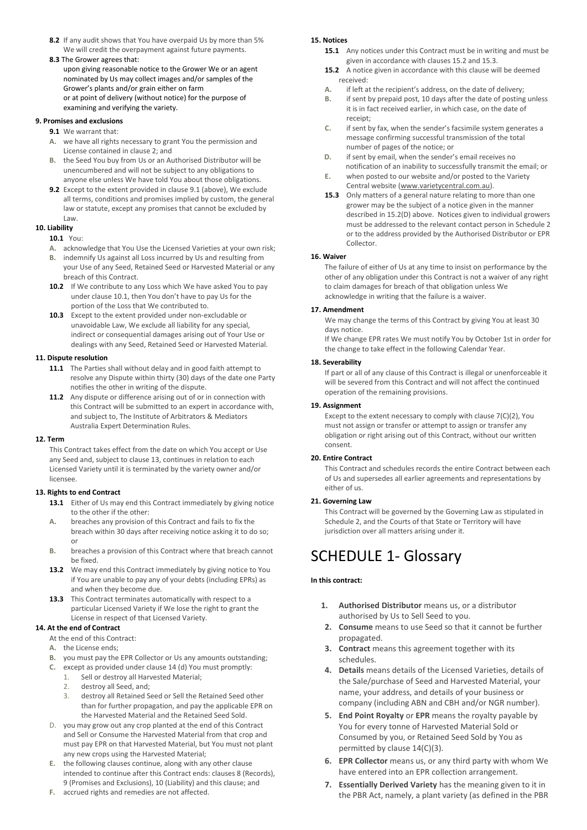- **8.2** If any audit shows that You have overpaid Us by more than 5% We will credit the overpayment against future payments.
- **8.3** The Grower agrees that:
- upon giving reasonable notice to the Grower We or an agent nominated by Us may collect images and/or samples of the Grower's plants and/or grain either on farm or at point of delivery (without notice) for the purpose of examining and verifying the variety.

#### **9. Promises and exclusions**

- **9.1** We warrant that:
- **A.** we have all rights necessary to grant You the permission and License contained in clause 2; and
- **B.** the Seed You buy from Us or an Authorised Distributor will be unencumbered and will not be subject to any obligations to anyone else unless We have told You about those obligations.
- **9.2** Except to the extent provided in clause 9.1 (above), We exclude all terms, conditions and promises implied by custom, the general law or statute, except any promises that cannot be excluded by Law.

#### **10. Liability**

#### **10.1** You:

- **A.** acknowledge that You Use the Licensed Varieties at your own risk;
- **B.** indemnify Us against all Loss incurred by Us and resulting from your Use of any Seed, Retained Seed or Harvested Material or any breach of this Contract.
- **10.2** If We contribute to any Loss which We have asked You to pay under clause 10.1, then You don't have to pay Us for the portion of the Loss that We contributed to.
- **10.3** Except to the extent provided under non-excludable or unavoidable Law, We exclude all liability for any special, indirect or consequential damages arising out of Your Use or dealings with any Seed, Retained Seed or Harvested Material.

#### **11. Dispute resolution**

- **11.1** The Parties shall without delay and in good faith attempt to notifies the other in writing of the dispute.
- this Contract will be submitted to an expert in accordance with, and subject to, The Institute of Arbitrators & Mediators Australia Expert Determination Rules.

#### **12. Term**

This Contract takes effect from the date on which You accept or Use any Seed and, subject to clause 13, continues in relation to each Licensed Variety until it is terminated by the variety owner and/or licensee.

#### **13. Rights to end Contract**

- 13.1 Either of Us may end this Contract immediately by giving notice to the other if the other:
- **A.** breaches any provision of this Contract and fails to fix the breach within 30 days after receiving notice asking it to do so; or
- **B.** breaches a provision of this Contract where that breach cannot be fixed.
- **13.2** We may end this Contract immediately by giving notice to You if You are unable to pay any of your debts (including EPRs) as and when they become due.
- **13.3** This Contract terminates automatically with respect to a particular Licensed Variety if We lose the right to grant the License in respect of that Licensed Variety.

#### **14. At the end of Contract**

- At the end of this Contract:
- **A.** the License ends;
- **B.** you must pay the EPR Collector or Us any amounts outstanding;
- **C.** except as provided under clause 14 (d) You must promptly:
	- 1. Sell or destroy all Harvested Material;
	- 2. destroy all Seed, and;
	- 3. destroy all Retained Seed or Sell the Retained Seed other than for further propagation, and pay the applicable EPR on the Harvested Material and the Retained Seed Sold.
- D. you may grow out any crop planted at the end of this Contract and Sell or Consume the Harvested Material from that crop and must pay EPR on that Harvested Material, but You must not plant any new crops using the Harvested Material;
- **E.** the following clauses continue, along with any other clause intended to continue after this Contract ends: clauses 8 (Records), 9 (Promises and Exclusions), 10 (Liability) and this clause; and
- 
- resolve any Dispute within thirty (30) days of the date one Party
- **11.2** Any dispute or difference arising out of or in connection with

of Us and supersedes all earlier agreements and representations by either of us.

#### **21. Governing Law**

Schedule 2, and the Courts of that State or Territory will have jurisdiction over all matters arising under it.

## SCHEDULE 1- Glossary

#### **In this contract:**

- **1. Authorised Distributor** means us, or a distributor authorised by Us to Sell Seed to you.
- **2. Consume** means to use Seed so that it cannot be further propagated.
- **3. Contract** means this agreement together with its schedules.
- **4. Details** means details of the Licensed Varieties, details of the Sale/purchase of Seed and Harvested Material, your name, your address, and details of your business or company (including ABN and CBH and/or NGR number).
- **5. End Point Royalty** or **EPR** means the royalty payable by You for every tonne of Harvested Material Sold or Consumed by you, or Retained Seed Sold by You as permitted by clause 14(C)(3).
- **6. EPR Collector** means us, or any third party with whom We have entered into an EPR collection arrangement.
- **7. Essentially Derived Variety** has the meaning given to it in the PBR Act, namely, a plant variety (as defined in the PBR

**F.** accrued rights and remedies are not affected.

#### **15. Notices**

- **15.1** Any notices under this Contract must be in writing and must be given in accordance with clauses 15.2 and 15.3.
- **15.2** A notice given in accordance with this clause will be deemed received:
- **A.** if left at the recipient's address, on the date of delivery;
- **B.** if sent by prepaid post, 10 days after the date of posting unless it is in fact received earlier, in which case, on the date of receipt;
- **C.** if sent by fax, when the sender's facsimile system generates a message confirming successful transmission of the total number of pages of the notice; or
- **D.** if sent by email, when the sender's email receives no notification of an inability to successfully transmit the email; or
- **E.** when posted to our website and/or posted to the Variety Central website [\(www.varietycentral.com.au\)](http://www.varietycentral.com.au/).
- **15.3** Only matters of a general nature relating to more than one grower may be the subject of a notice given in the manner described in 15.2(D) above. Notices given to individual growers must be addressed to the relevant contact person in Schedule 2 or to the address provided by the Authorised Distributor or EPR Collector.

#### **16. Waiver**

The failure of either of Us at any time to insist on performance by the other of any obligation under this Contract is not a waiver of any right to claim damages for breach of that obligation unless We acknowledge in writing that the failure is a waiver.

#### **17. Amendment**

We may change the terms of this Contract by giving You at least 30 days notice.

If We change EPR rates We must notify You by October 1st in order for the change to take effect in the following Calendar Year.

#### **18. Severability**

If part or all of any clause of this Contract is illegal or unenforceable it will be severed from this Contract and will not affect the continued operation of the remaining provisions.

#### **19. Assignment**

Except to the extent necessary to comply with clause 7(C)(2), You must not assign or transfer or attempt to assign or transfer any obligation or right arising out of this Contract, without our written consent.

#### **20. Entire Contract**

This Contract and schedules records the entire Contract between each

This Contract will be governed by the Governing Law as stipulated in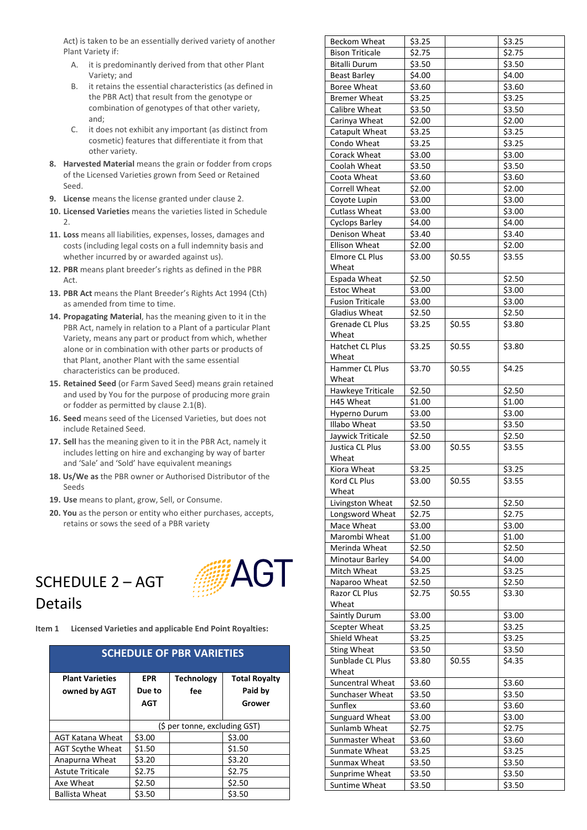Act) is taken to be an essentially derived variety of another Plant Variety if:

- A. it is predominantly derived from that other Plant Variety; and
- B. it retains the essential characteristics (as defined in the PBR Act) that result from the genotype or combination of genotypes of that other variety, and;
- C. it does not exhibit any important (as distinct from cosmetic) features that differentiate it from that other variety.
- **8. Harvested Material** means the grain or fodder from crops of the Licensed Varieties grown from Seed or Retained Seed.
- **9. License** means the license granted under clause 2.
- **10. Licensed Varieties** means the varieties listed in Schedule 2.
- **11. Loss** means all liabilities, expenses, losses, damages and costs (including legal costs on a full indemnity basis and whether incurred by or awarded against us).
- **12. PBR** means plant breeder's rights as defined in the PBR  $\Delta$ rt
- **13. PBR Act** means the Plant Breeder's Rights Act 1994 (Cth) as amended from time to time.
- **14. Propagating Material**, has the meaning given to it in the PBR Act, namely in relation to a Plant of a particular Plant Variety, means any part or product from which, whether alone or in combination with other parts or products of that Plant, another Plant with the same essential characteristics can be produced.
- **15. Retained Seed** (or Farm Saved Seed) means grain retained and used by You for the purpose of producing more grain or fodder as permitted by clause 2.1(B).
- **16. Seed** means seed of the Licensed Varieties, but does not include Retained Seed.
- **17. Sell** has the meaning given to it in the PBR Act, namely it includes letting on hire and exchanging by way of barter and 'Sale' and 'Sold' have equivalent meanings
- **18. Us/We as** the PBR owner or Authorised Distributor of the Seeds
- **19. Use** means to plant, grow, Sell, or Consume.
- **20. You** as the person or entity who either purchases, accepts, retains or sows the seed of a PBR variety

## SCHEDULE 2 – AGT Details



**Item 1 Licensed Varieties and applicable End Point Royalties:**

| <b>SCHEDULE OF PBR VARIETIES</b> |                               |                   |                      |  |  |
|----------------------------------|-------------------------------|-------------------|----------------------|--|--|
| <b>Plant Varieties</b>           | EPR.                          | <b>Technology</b> | <b>Total Royalty</b> |  |  |
| owned by AGT                     | Due to                        | fee               | Paid by              |  |  |
|                                  | AGT                           |                   | Grower               |  |  |
|                                  |                               |                   |                      |  |  |
|                                  | (\$ per tonne, excluding GST) |                   |                      |  |  |
| AGT Katana Wheat                 | \$3.00                        |                   | \$3.00               |  |  |
| <b>AGT Scythe Wheat</b>          | \$1.50                        |                   | \$1.50               |  |  |
| Anapurna Wheat                   | \$3.20                        |                   | \$3.20               |  |  |
| <b>Astute Triticale</b>          | \$2.75                        |                   | \$2.75               |  |  |
| Axe Wheat                        | \$2.50                        |                   | \$2.50               |  |  |
| <b>Ballista Wheat</b>            | \$3.50                        |                   | \$3.50               |  |  |

| Beckom Wheat            | \$3.25 |        | \$3.25              |
|-------------------------|--------|--------|---------------------|
| <b>Bison Triticale</b>  | \$2.75 |        | \$2.75              |
| Bitalli Durum           | \$3.50 |        | \$3.50              |
| Beast Barley            | \$4.00 |        | \$4.00              |
| Boree Wheat             | \$3.60 |        | \$3.60              |
| Bremer Wheat            | \$3.25 |        | \$3.25              |
| Calibre Wheat           | \$3.50 |        | \$3.50              |
| Carinya Wheat           | \$2.00 |        | \$2.00              |
| Catapult Wheat          | \$3.25 |        | \$3.25              |
| Condo Wheat             | \$3.25 |        | \$3.25              |
| Corack Wheat            | \$3.00 |        | \$3.00              |
| Coolah Wheat            | \$3.50 |        | \$3.50              |
| Coota Wheat             | \$3.60 |        | \$3.60              |
| Correll Wheat           | \$2.00 |        | \$2.00              |
| Coyote Lupin            | \$3.00 |        | \$3.00              |
| <b>Cutlass Wheat</b>    | \$3.00 |        | \$3.00              |
| <b>Cyclops Barley</b>   | \$4.00 |        | \$4.00              |
| Denison Wheat           | \$3.40 |        | \$3.40              |
| Ellison Wheat           | \$2.00 |        | \$2.00              |
| Elmore CL Plus          | \$3.00 | \$0.55 | \$3.55              |
| Wheat                   |        |        |                     |
| Espada Wheat            | \$2.50 |        | \$2.50              |
| <b>Estoc Wheat</b>      | \$3.00 |        | \$3.00              |
|                         |        |        |                     |
| <b>Fusion Triticale</b> | \$3.00 |        | \$3.00              |
| Gladius Wheat           | \$2.50 |        | \$2.50              |
| <b>Grenade CL Plus</b>  | \$3.25 | \$0.55 | \$3.80              |
| Wheat                   |        |        |                     |
| Hatchet CL Plus         | \$3.25 | \$0.55 | \$3.80              |
| Wheat                   |        |        |                     |
| Hammer CL Plus          | \$3.70 | \$0.55 | \$4.25              |
| Wheat                   |        |        |                     |
| Hawkeye Triticale       | \$2.50 |        | \$2.50              |
| H45 Wheat               | \$1.00 |        | \$1.00              |
| Hyperno Durum           | \$3.00 |        | \$3.00              |
| Illabo Wheat            | \$3.50 |        | \$3.50              |
| Jaywick Triticale       | \$2.50 |        | \$2.50              |
| Justica CL Plus         | \$3.00 | \$0.55 | $\overline{\$3.55}$ |
| Wheat                   |        |        |                     |
| Kiora Wheat             | \$3.25 |        | \$3.25              |
| Kord CL Plus            | \$3.00 | \$0.55 | \$3.55              |
| Wheat                   |        |        |                     |
| Livingston Wheat        | \$2.50 |        | \$2.50              |
| Longsword Wheat         | \$2.75 |        | \$2.75              |
| Mace Wheat              | \$3.00 |        | \$3.00              |
| Marombi Wheat           | \$1.00 |        | \$1.00              |
| Merinda Wheat           | \$2.50 |        | \$2.50              |
| Minotaur Barley         | \$4.00 |        | \$4.00              |
| Mitch Wheat             | \$3.25 |        | \$3.25              |
| Naparoo Wheat           | \$2.50 |        | \$2.50              |
| Razor CL Plus           | \$2.75 | \$0.55 | \$3.30              |
| Wheat                   |        |        |                     |
| Saintly Durum           | \$3.00 |        | \$3.00              |
| Scepter Wheat           | \$3.25 |        | \$3.25              |
| Shield Wheat            | \$3.25 |        | \$3.25              |
| <b>Sting Wheat</b>      | \$3.50 |        | \$3.50              |
| Sunblade CL Plus        | \$3.80 | \$0.55 | \$4.35              |
| Wheat                   |        |        |                     |
| Suncentral Wheat        | \$3.60 |        | \$3.60              |
| Sunchaser Wheat         | \$3.50 |        | \$3.50              |
| Sunflex                 | \$3.60 |        | \$3.60              |
| Sunguard Wheat          | \$3.00 |        | \$3.00              |
| Sunlamb Wheat           | \$2.75 |        | \$2.75              |
| Sunmaster Wheat         | \$3.60 |        | \$3.60              |
| Sunmate Wheat           | \$3.25 |        | \$3.25              |
| Sunmax Wheat            | \$3.50 |        | \$3.50              |
| Sunprime Wheat          | \$3.50 |        | \$3.50              |
| Suntime Wheat           | \$3.50 |        | $\overline{5}3.50$  |
|                         |        |        |                     |